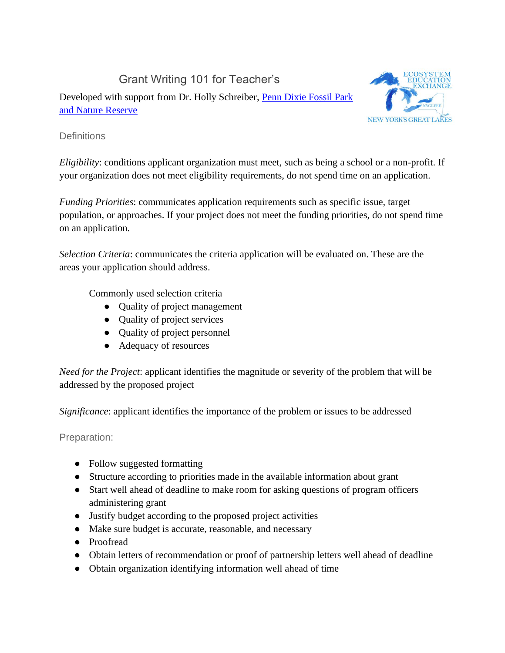Grant Writing 101 for Teacher's

Developed with support from Dr. Holly Schreiber, [Penn Dixie Fossil Park](https://penndixie.org/)  [and Nature Reserve](https://penndixie.org/)



## **Definitions**

*Eligibility*: conditions applicant organization must meet, such as being a school or a non-profit. If your organization does not meet eligibility requirements, do not spend time on an application.

*Funding Priorities*: communicates application requirements such as specific issue, target population, or approaches. If your project does not meet the funding priorities, do not spend time on an application.

*Selection Criteria*: communicates the criteria application will be evaluated on. These are the areas your application should address.

Commonly used selection criteria

- Quality of project management
- Quality of project services
- Quality of project personnel
- Adequacy of resources

*Need for the Project*: applicant identifies the magnitude or severity of the problem that will be addressed by the proposed project

*Significance*: applicant identifies the importance of the problem or issues to be addressed

Preparation:

- Follow suggested formatting
- Structure according to priorities made in the available information about grant
- Start well ahead of deadline to make room for asking questions of program officers administering grant
- Justify budget according to the proposed project activities
- Make sure budget is accurate, reasonable, and necessary
- Proofread
- Obtain letters of recommendation or proof of partnership letters well ahead of deadline
- Obtain organization identifying information well ahead of time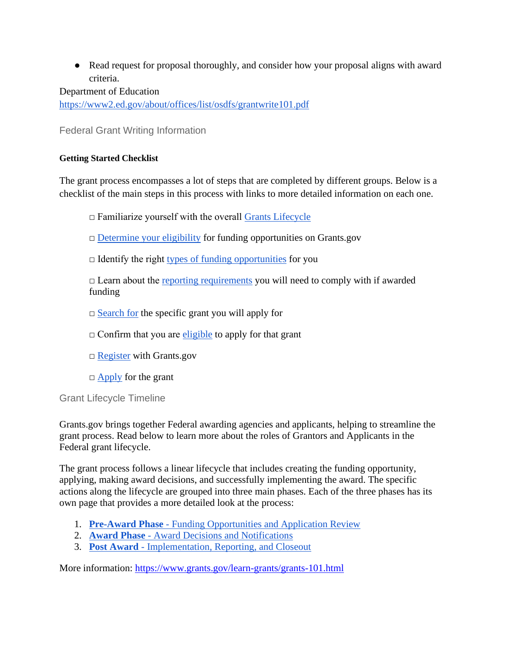• Read request for proposal thoroughly, and consider how your proposal aligns with award criteria.

Department of Education <https://www2.ed.gov/about/offices/list/osdfs/grantwrite101.pdf>

Federal Grant Writing Information

## **Getting Started Checklist**

The grant process encompasses a lot of steps that are completed by different groups. Below is a checklist of the main steps in this process with links to more detailed information on each one.

□ Familiarize yourself with the overall [Grants Lifecycle](https://www.grants.gov/web/grants/learn-grants/grants-101/grant-lifecycle.html)

[□](https://www.grants.gov/web/grants/learn-grants/grant-eligibility.html) [Determine your eligibility](https://www.grants.gov/web/grants/learn-grants/grant-eligibility.html) for funding opportunities on Grants.gov

 $\Box$  Identify the right [types of funding opportunities](https://www.grants.gov/web/grants/learn-grants/grant-programs.html) for you

 $\Box$  Learn about the [reporting requirements](https://www.grants.gov/web/grants/learn-grants/grant-reporting.html) you will need to comply with if awarded funding

 $\Box$  [Search for](https://www.grants.gov/web/grants/search-grants.html) the specific grant you will apply for

 $\Box$  Confirm that you ar[e](https://www.grants.gov/web/grants/applicants/applicant-eligibility.html) [eligible](https://www.grants.gov/web/grants/applicants/applicant-eligibility.html) to apply for that grant

[□](https://www.grants.gov/web/grants/register.html) [Register](https://www.grants.gov/web/grants/register.html) with Grants.gov

 $\Box$  [Apply](https://www.grants.gov/web/grants/applicants/apply-for-grants.html) for the grant

Grant Lifecycle Timeline

Grants.gov brings together Federal awarding agencies and applicants, helping to streamline the grant process. Read below to learn more about the roles of Grantors and Applicants in the Federal grant lifecycle.

The grant process follows a linear lifecycle that includes creating the funding opportunity, applying, making award decisions, and successfully implementing the award. The specific actions along the lifecycle are grouped into three main phases. Each of the three phases has its own page that provides a more detailed look at the process:

- 1. **[Pre-Award Phase](https://www.grants.gov/web/grants/learn-grants/grants-101/pre-award-phase.html)** [Funding Opportunities and Application Review](https://www.grants.gov/web/grants/learn-grants/grants-101/pre-award-phase.html)
- 2. **[Award Phase](https://www.grants.gov/web/grants/learn-grants/grants-101/award-phase.html)** [Award Decisions and Notifications](https://www.grants.gov/web/grants/learn-grants/grants-101/award-phase.html)
- 3. **[Post Award](https://www.grants.gov/web/grants/learn-grants/grants-101/post-award-phase.html)** [Implementation, Reporting, and Closeout](https://www.grants.gov/web/grants/learn-grants/grants-101/post-award-phase.html)

More information:<https://www.grants.gov/learn-grants/grants-101.html>